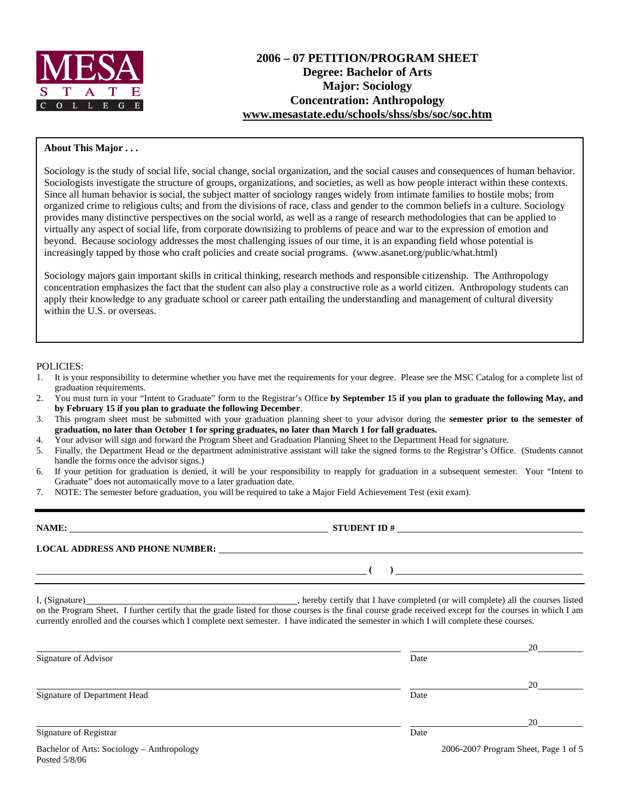

# **2006 – 07 PETITION/PROGRAM SHEET Degree: Bachelor of Arts Major: Sociology Concentration: Anthropology [www.mesastate.edu/schools/shss/sbs/soc/soc.htm](http://www.mesastate.edu/schools/shss/sbs/soc/soc.htm)**

#### **About This Major . . .**

Sociology is the study of social life, social change, social organization, and the social causes and consequences of human behavior. Sociologists investigate the structure of groups, organizations, and societies, as well as how people interact within these contexts. Since all human behavior is social, the subject matter of sociology ranges widely from intimate families to hostile mobs; from organized crime to religious cults; and from the divisions of race, class and gender to the common beliefs in a culture. Sociology provides many distinctive perspectives on the social world, as well as a range of research methodologies that can be applied to virtually any aspect of social life, from corporate downsizing to problems of peace and war to the expression of emotion and beyond. Because sociology addresses the most challenging issues of our time, it is an expanding field whose potential is increasingly tapped by those who craft policies and create social programs. (www.asanet.org/public/what.html)

Sociology majors gain important skills in critical thinking, research methods and responsible citizenship. The Anthropology concentration emphasizes the fact that the student can also play a constructive role as a world citizen. Anthropology students can apply their knowledge to any graduate school or career path entailing the understanding and management of cultural diversity within the U.S. or overseas.

#### POLICIES:

- 1. It is your responsibility to determine whether you have met the requirements for your degree. Please see the MSC Catalog for a complete list of graduation requirements.
- 2. You must turn in your "Intent to Graduate" form to the Registrar's Office **by September 15 if you plan to graduate the following May, and by February 15 if you plan to graduate the following December**.
- 3. This program sheet must be submitted with your graduation planning sheet to your advisor during the **semester prior to the semester of graduation, no later than October 1 for spring graduates, no later than March 1 for fall graduates.**
- 4. Your advisor will sign and forward the Program Sheet and Graduation Planning Sheet to the Department Head for signature.
- 5. Finally, the Department Head or the department administrative assistant will take the signed forms to the Registrar's Office. (Students cannot handle the forms once the advisor signs.)
- 6. If your petition for graduation is denied, it will be your responsibility to reapply for graduation in a subsequent semester. Your "Intent to Graduate" does not automatically move to a later graduation date.
- 7. NOTE: The semester before graduation, you will be required to take a Major Field Achievement Test (exit exam).

| NAME:                                  | <b>STUDENT ID#</b> |
|----------------------------------------|--------------------|
| <b>LOCAL ADDRESS AND PHONE NUMBER:</b> |                    |
|                                        |                    |

Posted 5/8/06

I, (Signature) , hereby certify that I have completed (or will complete) all the courses listed on the Program Sheet. I further certify that the grade listed for those courses is the final course grade received except for the courses in which I am currently enrolled and the courses which I complete next semester. I have indicated the semester in which I will complete these courses.

|                                            |      | 20                                   |
|--------------------------------------------|------|--------------------------------------|
| Signature of Advisor                       | Date |                                      |
|                                            |      | 20                                   |
| Signature of Department Head               | Date |                                      |
|                                            |      | 20                                   |
| Signature of Registrar                     | Date |                                      |
| Bachelor of Arts: Sociology - Anthropology |      | 2006-2007 Program Sheet, Page 1 of 5 |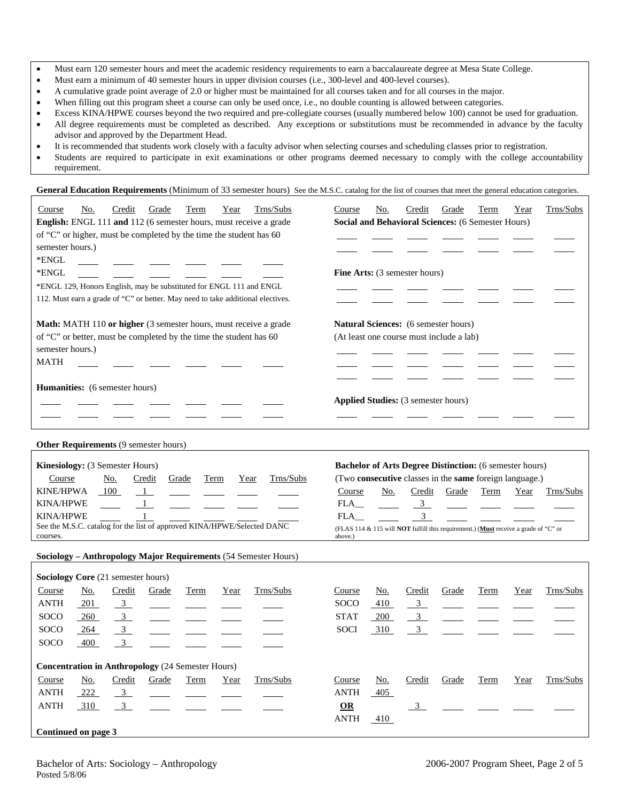- Must earn a minimum of 40 semester hours in upper division courses (i.e., 300-level and 400-level courses).
- A cumulative grade point average of 2.0 or higher must be maintained for all courses taken and for all courses in the major.
- When filling out this program sheet a course can only be used once, i.e., no double counting is allowed between categories.
- Excess KINA/HPWE courses beyond the two required and pre-collegiate courses (usually numbered below 100) cannot be used for graduation. • All degree requirements must be completed as described. Any exceptions or substitutions must be recommended in advance by the faculty advisor and approved by the Department Head.
- It is recommended that students work closely with a faculty advisor when selecting courses and scheduling classes prior to registration.
- Students are required to participate in exit examinations or other programs deemed necessary to comply with the college accountability requirement.

General Education Requirements (Minimum of 33 semester hours) See the M.S.C. catalog for the list of courses that meet the general education categories.

| Trns/Subs<br>Credit<br>Course<br>No.<br>Grade<br>Term<br>Year<br>English: ENGL 111 and 112 (6 semester hours, must receive a grade<br>of "C" or higher, must be completed by the time the student has 60<br>semester hours.)<br>*ENGL<br>*ENGL<br>*ENGL 129, Honors English, may be substituted for ENGL 111 and ENGL<br>112. Must earn a grade of "C" or better. May need to take additional electives. | Trns/Subs<br>Credit<br>Grade<br>Term<br>Course<br>No.<br>Year<br>Social and Behavioral Sciences: (6 Semester Hours)<br>Fine Arts: (3 semester hours)                                                                                                                                                                                                 |
|----------------------------------------------------------------------------------------------------------------------------------------------------------------------------------------------------------------------------------------------------------------------------------------------------------------------------------------------------------------------------------------------------------|------------------------------------------------------------------------------------------------------------------------------------------------------------------------------------------------------------------------------------------------------------------------------------------------------------------------------------------------------|
| Math: MATH 110 or higher (3 semester hours, must receive a grade<br>of "C" or better, must be completed by the time the student has 60<br>semester hours.)<br><b>MATH</b>                                                                                                                                                                                                                                | Natural Sciences: (6 semester hours)<br>(At least one course must include a lab)                                                                                                                                                                                                                                                                     |
| <b>Humanities:</b> (6 semester hours)                                                                                                                                                                                                                                                                                                                                                                    | Applied Studies: (3 semester hours)                                                                                                                                                                                                                                                                                                                  |
| Other Requirements (9 semester hours)                                                                                                                                                                                                                                                                                                                                                                    |                                                                                                                                                                                                                                                                                                                                                      |
| Kinesiology: (3 Semester Hours)<br>Trns/Subs<br>Course<br><u>No.</u><br>Credit<br>Grade<br>Term<br>Year<br><b>KINE/HPWA</b><br>100<br>$\mathbf{1}$<br><b>KINA/HPWE</b><br><b>KINA/HPWE</b><br>See the M.S.C. catalog for the list of approved KINA/HPWE/Selected DANC<br>courses.                                                                                                                        | <b>Bachelor of Arts Degree Distinction:</b> (6 semester hours)<br>(Two consecutive classes in the same foreign language.)<br>Course<br>No.<br>Credit<br>Grade<br>Term<br>Year<br>Trns/Subs<br>FLA<br>$\frac{3}{2}$<br>3 <sup>7</sup><br>FLA<br>(FLAS 114 & 115 will <b>NOT</b> fulfill this requirement.) (Must receive a grade of "C" or<br>above.) |
| Sociology - Anthropology Major Requirements (54 Semester Hours)                                                                                                                                                                                                                                                                                                                                          |                                                                                                                                                                                                                                                                                                                                                      |
| Sociology Core (21 semester hours)                                                                                                                                                                                                                                                                                                                                                                       |                                                                                                                                                                                                                                                                                                                                                      |
| Trns/Subs<br>Credit<br>Course<br>No.<br>Grade<br>Term<br>Year<br><b>ANTH</b><br>$\frac{3}{2}$<br>201<br>$\overline{3}$<br>SOCO<br>260<br>$\overline{3}$<br>SOCO<br>264<br>SOCO<br>400<br>3 <sup>1</sup>                                                                                                                                                                                                  | Trns/Subs<br>Credit<br>Course<br>No.<br>Grade<br>Term<br>Year<br><b>SOCO</b><br>410<br>$\overline{3}$<br><b>STAT</b><br><u>200</u><br>$\frac{3}{2}$<br>$\mathfrak{Z}$<br>310<br><b>SOCI</b>                                                                                                                                                          |
| <b>Concentration in Anthropology</b> (24 Semester Hours)                                                                                                                                                                                                                                                                                                                                                 |                                                                                                                                                                                                                                                                                                                                                      |
| Trns/Subs<br>Course<br><u>No.</u><br>Credit<br>Grade<br><b>Term</b><br>Year<br><b>ANTH</b><br>222<br>$\frac{3}{2}$<br><b>ANTH</b><br>310<br>$\overline{3}$                                                                                                                                                                                                                                               | Trns/Subs<br>Course<br>Credit<br><b>Term</b><br>Year<br><u>No.</u><br>Grade<br><b>ANTH</b><br>405<br>$\Omega$<br>$\frac{3}{2}$                                                                                                                                                                                                                       |
| Continued on page 3                                                                                                                                                                                                                                                                                                                                                                                      | <b>ANTH</b><br>$-410$                                                                                                                                                                                                                                                                                                                                |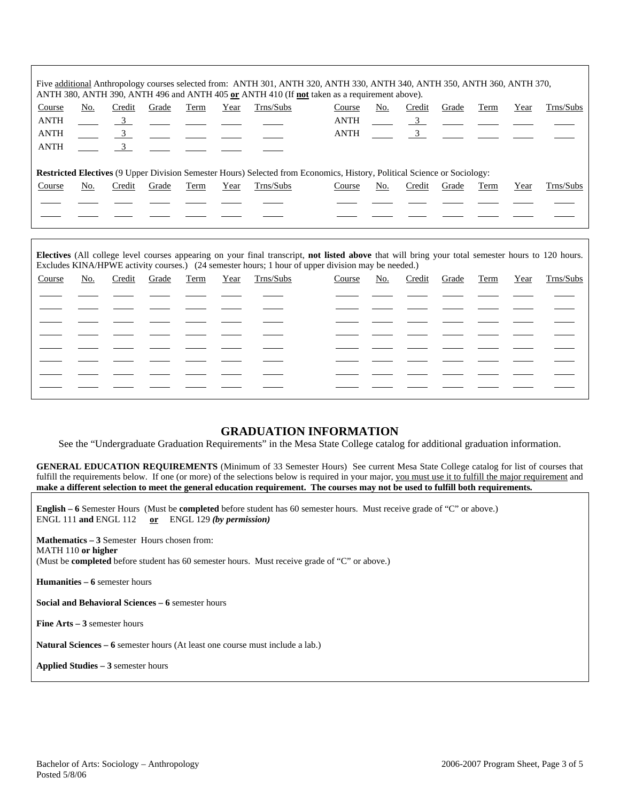|             |     |                |       |      |      |           | Five additional Anthropology courses selected from: ANTH 301, ANTH 320, ANTH 330, ANTH 340, ANTH 350, ANTH 360, ANTH 370,<br>ANTH 380, ANTH 390, ANTH 496 and ANTH 405 or ANTH 410 (If not taken as a requirement above). |     |                                                         |                |      |      |           |
|-------------|-----|----------------|-------|------|------|-----------|---------------------------------------------------------------------------------------------------------------------------------------------------------------------------------------------------------------------------|-----|---------------------------------------------------------|----------------|------|------|-----------|
| Course      | No. | Credit         | Grade | Term | Year | Trns/Subs | Course                                                                                                                                                                                                                    | No. | Credit                                                  | Grade          | Term | Year | Trns/Subs |
| <b>ANTH</b> |     | $\frac{3}{2}$  |       |      |      |           | ANTH                                                                                                                                                                                                                      |     |                                                         | $\overline{3}$ |      |      |           |
| <b>ANTH</b> |     | $\frac{3}{2}$  |       |      |      |           | ANTH                                                                                                                                                                                                                      |     | $\frac{3}{2}$ $\frac{1}{2}$ $\frac{1}{2}$ $\frac{1}{2}$ |                |      |      |           |
| <b>ANTH</b> |     | $\overline{3}$ |       |      |      |           |                                                                                                                                                                                                                           |     |                                                         |                |      |      |           |
|             |     |                |       |      |      |           | <b>Restricted Electives</b> (9 Upper Division Semester Hours) Selected from Economics, History, Political Science or Sociology:                                                                                           |     |                                                         |                |      |      |           |
| Course      | No. | Credit         | Grade | Term | Year | Trns/Subs | Course                                                                                                                                                                                                                    | No. | Credit                                                  | Grade          | Term | Year | Trns/Subs |
|             |     |                |       |      |      |           |                                                                                                                                                                                                                           |     |                                                         |                |      |      |           |
|             |     |                |       |      |      |           |                                                                                                                                                                                                                           |     |                                                         |                |      |      |           |

|        |     |        |       |      |      | Electives (All college level courses appearing on your final transcript, not listed above that will bring your total semester hours to 120 hours.<br>Excludes KINA/HPWE activity courses.) (24 semester hours; 1 hour of upper division may be needed.) |        |     |        |       |      |      |           |
|--------|-----|--------|-------|------|------|---------------------------------------------------------------------------------------------------------------------------------------------------------------------------------------------------------------------------------------------------------|--------|-----|--------|-------|------|------|-----------|
| Course | No. | Credit | Grade | Term | Year | Trns/Subs                                                                                                                                                                                                                                               | Course | No. | Credit | Grade | Term | Year | Trns/Subs |
|        |     |        |       |      |      |                                                                                                                                                                                                                                                         |        |     |        |       |      |      |           |
|        |     |        |       |      |      |                                                                                                                                                                                                                                                         |        |     |        |       |      |      |           |
|        |     |        |       |      |      |                                                                                                                                                                                                                                                         |        |     |        |       |      |      |           |
|        |     |        |       |      |      |                                                                                                                                                                                                                                                         |        |     |        |       |      |      |           |
|        |     |        |       |      |      |                                                                                                                                                                                                                                                         |        |     |        |       |      |      |           |
|        |     |        |       |      |      |                                                                                                                                                                                                                                                         |        |     |        |       |      |      |           |
|        |     |        |       |      |      |                                                                                                                                                                                                                                                         |        |     |        |       |      |      |           |
|        |     |        |       |      |      |                                                                                                                                                                                                                                                         |        |     |        |       |      |      |           |

## **GRADUATION INFORMATION**

See the "Undergraduate Graduation Requirements" in the Mesa State College catalog for additional graduation information.

**GENERAL EDUCATION REQUIREMENTS** (Minimum of 33 Semester Hours) See current Mesa State College catalog for list of courses that fulfill the requirements below. If one (or more) of the selections below is required in your major, you must use it to fulfill the major requirement and **make a different selection to meet the general education requirement. The courses may not be used to fulfill both requirements.**

**English – 6** Semester Hours (Must be **completed** before student has 60 semester hours. Must receive grade of "C" or above.) ENGL 111 **and** ENGL 112 **or** ENGL 129 *(by permission)*

**Mathematics – 3** Semester Hours chosen from: MATH 110 **or higher** (Must be **completed** before student has 60 semester hours. Must receive grade of "C" or above.)

**Humanities – 6** semester hours

**Social and Behavioral Sciences – 6** semester hours

**Fine Arts – 3** semester hours

**Natural Sciences – 6** semester hours (At least one course must include a lab.)

**Applied Studies – 3** semester hours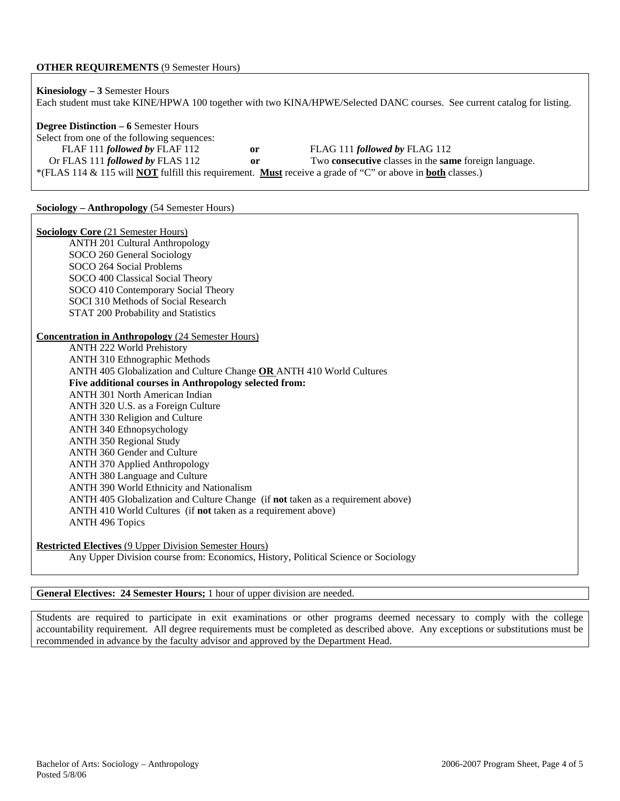### **OTHER REQUIREMENTS** (9 Semester Hours)

| <b>Kinesiology</b> $-3$ Semester Hours       |    | Each student must take KINE/HPWA 100 together with two KINA/HPWE/Selected DANC courses. See current catalog for listing.        |
|----------------------------------------------|----|---------------------------------------------------------------------------------------------------------------------------------|
| <b>Degree Distinction – 6 Semester Hours</b> |    |                                                                                                                                 |
| Select from one of the following sequences:  |    |                                                                                                                                 |
| FLAF 111 followed by FLAF 112                | or | FLAG 111 followed by FLAG 112                                                                                                   |
| Or FLAS 111 followed by FLAS 112             | 0r | Two <b>consecutive</b> classes in the <b>same</b> foreign language.                                                             |
|                                              |    | *(FLAS 114 & 115 will <b>NOT</b> fulfill this requirement. <b>Must</b> receive a grade of "C" or above in <b>both</b> classes.) |

## **Sociology – Anthropology** (54 Semester Hours)

| <b>Sociology Core (21 Semester Hours)</b>                                          |
|------------------------------------------------------------------------------------|
| <b>ANTH 201 Cultural Anthropology</b>                                              |
| SOCO 260 General Sociology                                                         |
| SOCO 264 Social Problems                                                           |
| SOCO 400 Classical Social Theory                                                   |
| SOCO 410 Contemporary Social Theory                                                |
| SOCI 310 Methods of Social Research                                                |
| STAT 200 Probability and Statistics                                                |
|                                                                                    |
| <b>Concentration in Anthropology (24 Semester Hours)</b>                           |
| <b>ANTH 222 World Prehistory</b>                                                   |
| <b>ANTH 310 Ethnographic Methods</b>                                               |
| ANTH 405 Globalization and Culture Change OR ANTH 410 World Cultures               |
| Five additional courses in Anthropology selected from:                             |
| <b>ANTH 301 North American Indian</b>                                              |
| ANTH 320 U.S. as a Foreign Culture                                                 |
| ANTH 330 Religion and Culture                                                      |
| ANTH 340 Ethnopsychology                                                           |
| <b>ANTH 350 Regional Study</b>                                                     |
| ANTH 360 Gender and Culture                                                        |
| <b>ANTH 370 Applied Anthropology</b>                                               |
| ANTH 380 Language and Culture                                                      |
| ANTH 390 World Ethnicity and Nationalism                                           |
| ANTH 405 Globalization and Culture Change (if not taken as a requirement above)    |
| ANTH 410 World Cultures (if not taken as a requirement above)                      |
| <b>ANTH 496 Topics</b>                                                             |
|                                                                                    |
| <b>Restricted Electives (9 Upper Division Semester Hours)</b>                      |
| Any Upper Division course from: Economics, History, Political Science or Sociology |

### **General Electives: 24 Semester Hours;** 1 hour of upper division are needed.

Students are required to participate in exit examinations or other programs deemed necessary to comply with the college accountability requirement. All degree requirements must be completed as described above. Any exceptions or substitutions must be recommended in advance by the faculty advisor and approved by the Department Head.